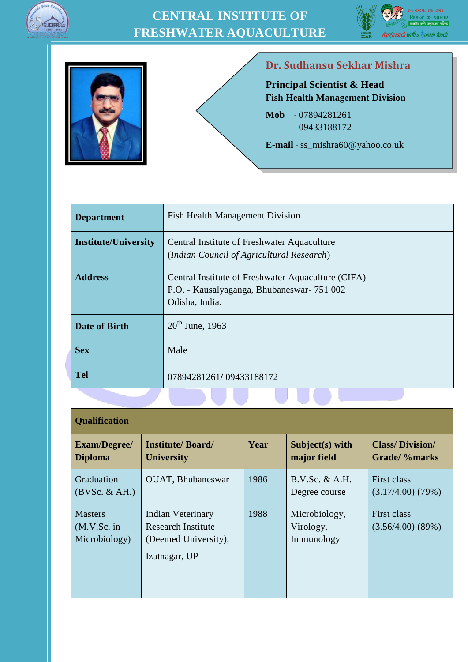





#### **Dr. Sudhansu Sekhar Mishra**

**Principal Scientist & Head Fish Health Management Division**

**Mob** - 07894281261 09433188172

**E-mail** - ss\_mishra60@yahoo.co.uk

| <b>Department</b>           | <b>Fish Health Management Division</b>                                                                              |
|-----------------------------|---------------------------------------------------------------------------------------------------------------------|
| <b>Institute/University</b> | Central Institute of Freshwater Aquaculture<br>(Indian Council of Agricultural Research)                            |
| <b>Address</b>              | Central Institute of Freshwater Aquaculture (CIFA)<br>P.O. - Kausalyaganga, Bhubaneswar - 751 002<br>Odisha, India. |
| <b>Date of Birth</b>        | $20^{th}$ June, 1963                                                                                                |
| <b>Sex</b>                  | Male                                                                                                                |
| <b>Tel</b>                  | 07894281261/09433188172                                                                                             |

| <b>Qualification</b>                                                                                                                      |                                              |      |                                          |                                         |
|-------------------------------------------------------------------------------------------------------------------------------------------|----------------------------------------------|------|------------------------------------------|-----------------------------------------|
| <b>Exam/Degree/</b><br><b>Diploma</b>                                                                                                     | <b>Institute/Board/</b><br><b>University</b> | Year | Subject $(s)$ with<br>major field        | <b>Class/Division/</b><br>Grade/ %marks |
| Graduation<br>(BVSc. & AH.)                                                                                                               | <b>OUAT, Bhubaneswar</b>                     | 1986 | B.V.Sc. & A.H.<br>Degree course          | First class<br>$(3.17/4.00)$ $(79%)$    |
| <b>Masters</b><br><b>Indian Veterinary</b><br>Research Institute<br>(M.V.Sc. in<br>Microbiology)<br>(Deemed University),<br>Izatnagar, UP |                                              | 1988 | Microbiology,<br>Virology,<br>Immunology | First class<br>$(3.56/4.00)$ $(89%)$    |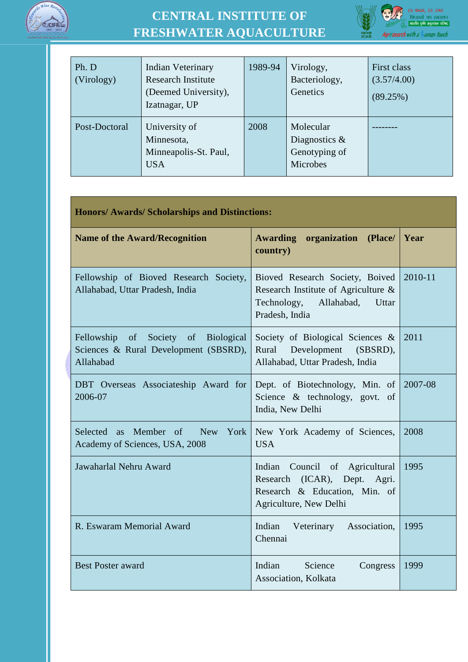



| Ph. D<br>(Virology) | Indian Veterinary<br><b>Research Institute</b><br>(Deemed University),<br>Izatnagar, UP | 1989-94 | Virology,<br>Bacteriology,<br>Genetics                     | First class<br>(3.57/4.00)<br>(89.25%) |
|---------------------|-----------------------------------------------------------------------------------------|---------|------------------------------------------------------------|----------------------------------------|
| Post-Doctoral       | University of<br>Minnesota,<br>Minneapolis-St. Paul,<br><b>USA</b>                      | 2008    | Molecular<br>Diagnostics $\&$<br>Genotyping of<br>Microbes |                                        |

| <b>Honors/ Awards/ Scholarships and Distinctions:</b>                                               |                                                                                                                                |         |  |  |
|-----------------------------------------------------------------------------------------------------|--------------------------------------------------------------------------------------------------------------------------------|---------|--|--|
| <b>Name of the Award/Recognition</b>                                                                | Awarding<br>organization<br>(Place/<br>country)                                                                                | Year    |  |  |
| Fellowship of Bioved Research Society,<br>Allahabad, Uttar Pradesh, India                           | Bioved Research Society, Boived<br>Research Institute of Agriculture &<br>Technology,<br>Allahabad,<br>Uttar<br>Pradesh, India | 2010-11 |  |  |
| Fellowship of Society of<br><b>Biological</b><br>Sciences & Rural Development (SBSRD),<br>Allahabad | Society of Biological Sciences &<br>Development<br>Rural<br>(SBSRD),<br>Allahabad, Uttar Pradesh, India                        | 2011    |  |  |
| DBT Overseas Associateship Award for<br>2006-07                                                     | Dept. of Biotechnology, Min. of<br>Science & technology, govt. of<br>India, New Delhi                                          | 2007-08 |  |  |
| Selected as Member of New<br>York<br>Academy of Sciences, USA, 2008                                 | New York Academy of Sciences,<br><b>USA</b>                                                                                    | 2008    |  |  |
| Jawaharlal Nehru Award                                                                              | Indian Council of Agricultural<br>Research (ICAR), Dept. Agri.<br>Research & Education, Min. of<br>Agriculture, New Delhi      | 1995    |  |  |
| R. Eswaram Memorial Award                                                                           | Indian<br>Association,<br>Veterinary<br>Chennai                                                                                | 1995    |  |  |
| <b>Best Poster award</b>                                                                            | Indian<br>Science<br>Congress<br>Association, Kolkata                                                                          | 1999    |  |  |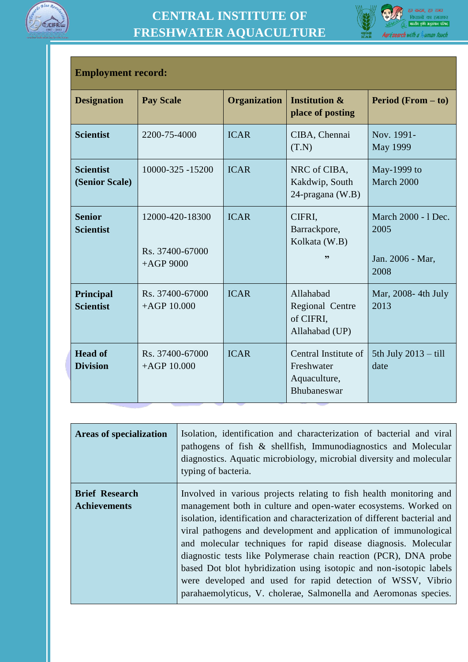



#### **Employment record:**

| <b>Designation</b>                 | <b>Pay Scale</b>                                  | Organization | <b>Institution &amp;</b><br>place of posting                      | <b>Period</b> (From $-$ to)                             |
|------------------------------------|---------------------------------------------------|--------------|-------------------------------------------------------------------|---------------------------------------------------------|
| <b>Scientist</b>                   | 2200-75-4000                                      | <b>ICAR</b>  | CIBA, Chennai<br>(T.N)                                            | Nov. 1991-<br><b>May 1999</b>                           |
| <b>Scientist</b><br>(Senior Scale) | 10000-325 -15200                                  | <b>ICAR</b>  | NRC of CIBA,<br>Kakdwip, South<br>24-pragana (W.B)                | May-1999 to<br>March 2000                               |
| <b>Senior</b><br><b>Scientist</b>  | 12000-420-18300<br>Rs. 37400-67000<br>$+AGP$ 9000 | <b>ICAR</b>  | CIFRI,<br>Barrackpore,<br>Kolkata (W.B)<br>,,                     | March 2000 - 1 Dec.<br>2005<br>Jan. 2006 - Mar,<br>2008 |
| Principal<br><b>Scientist</b>      | Rs. 37400-67000<br>$+AGP$ 10.000                  | <b>ICAR</b>  | Allahabad<br>Regional Centre<br>of CIFRI,<br>Allahabad (UP)       | Mar, 2008-4th July<br>2013                              |
| <b>Head of</b><br><b>Division</b>  | Rs. 37400-67000<br>$+AGP$ 10.000                  | <b>ICAR</b>  | Central Institute of<br>Freshwater<br>Aquaculture,<br>Bhubaneswar | 5th July $2013 -$ till<br>date                          |

| <b>Areas of specialization</b>               | Isolation, identification and characterization of bacterial and viral<br>pathogens of fish & shellfish, Immunodiagnostics and Molecular<br>diagnostics. Aquatic microbiology, microbial diversity and molecular<br>typing of bacteria.                                                                                                                                                                                                                                                                                                                                                                                                   |
|----------------------------------------------|------------------------------------------------------------------------------------------------------------------------------------------------------------------------------------------------------------------------------------------------------------------------------------------------------------------------------------------------------------------------------------------------------------------------------------------------------------------------------------------------------------------------------------------------------------------------------------------------------------------------------------------|
| <b>Brief Research</b><br><b>Achievements</b> | Involved in various projects relating to fish health monitoring and<br>management both in culture and open-water ecosystems. Worked on<br>isolation, identification and characterization of different bacterial and<br>viral pathogens and development and application of immunological<br>and molecular techniques for rapid disease diagnosis. Molecular<br>diagnostic tests like Polymerase chain reaction (PCR), DNA probe<br>based Dot blot hybridization using isotopic and non-isotopic labels<br>were developed and used for rapid detection of WSSV, Vibrio<br>parahaemolyticus, V. cholerae, Salmonella and Aeromonas species. |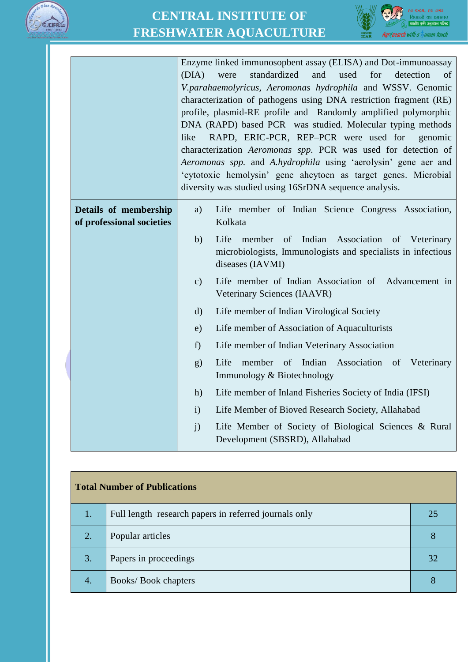



|                                                    | Enzyme linked immunosopbent assay (ELISA) and Dot-immunoassay<br>(DIA)<br>standardized<br>and<br>used<br>for<br>detection<br>of<br>were<br>V.parahaemolyricus, Aeromonas hydrophila and WSSV. Genomic<br>characterization of pathogens using DNA restriction fragment (RE)<br>profile, plasmid-RE profile and Randomly amplified polymorphic<br>DNA (RAPD) based PCR was studied. Molecular typing methods<br>RAPD, ERIC-PCR, REP-PCR were used for<br>like<br>genomic<br>characterization Aeromonas spp. PCR was used for detection of<br>Aeromonas spp. and A.hydrophila using 'aerolysin' gene aer and<br>'cytotoxic hemolysin' gene ahcytoen as target genes. Microbial<br>diversity was studied using 16SrDNA sequence analysis. |                                                                                                                                              |  |
|----------------------------------------------------|---------------------------------------------------------------------------------------------------------------------------------------------------------------------------------------------------------------------------------------------------------------------------------------------------------------------------------------------------------------------------------------------------------------------------------------------------------------------------------------------------------------------------------------------------------------------------------------------------------------------------------------------------------------------------------------------------------------------------------------|----------------------------------------------------------------------------------------------------------------------------------------------|--|
| Details of membership<br>of professional societies | a)                                                                                                                                                                                                                                                                                                                                                                                                                                                                                                                                                                                                                                                                                                                                    | Life member of Indian Science Congress Association,<br>Kolkata                                                                               |  |
|                                                    | b)                                                                                                                                                                                                                                                                                                                                                                                                                                                                                                                                                                                                                                                                                                                                    | Life<br>member<br>of Indian<br>Association of Veterinary<br>microbiologists, Immunologists and specialists in infectious<br>diseases (IAVMI) |  |
|                                                    | $\mathbf{c})$                                                                                                                                                                                                                                                                                                                                                                                                                                                                                                                                                                                                                                                                                                                         | Life member of Indian Association of Advancement in<br>Veterinary Sciences (IAAVR)                                                           |  |
|                                                    | $\mathrm{d}$                                                                                                                                                                                                                                                                                                                                                                                                                                                                                                                                                                                                                                                                                                                          | Life member of Indian Virological Society                                                                                                    |  |
|                                                    | e)                                                                                                                                                                                                                                                                                                                                                                                                                                                                                                                                                                                                                                                                                                                                    | Life member of Association of Aquaculturists                                                                                                 |  |
|                                                    | f                                                                                                                                                                                                                                                                                                                                                                                                                                                                                                                                                                                                                                                                                                                                     | Life member of Indian Veterinary Association                                                                                                 |  |
|                                                    | g)                                                                                                                                                                                                                                                                                                                                                                                                                                                                                                                                                                                                                                                                                                                                    | member of Indian Association of Veterinary<br>Life<br>Immunology & Biotechnology                                                             |  |
|                                                    | h)                                                                                                                                                                                                                                                                                                                                                                                                                                                                                                                                                                                                                                                                                                                                    | Life member of Inland Fisheries Society of India (IFSI)                                                                                      |  |
|                                                    | $\mathbf{i}$                                                                                                                                                                                                                                                                                                                                                                                                                                                                                                                                                                                                                                                                                                                          | Life Member of Bioved Research Society, Allahabad                                                                                            |  |
|                                                    | $\mathbf{j}$                                                                                                                                                                                                                                                                                                                                                                                                                                                                                                                                                                                                                                                                                                                          | Life Member of Society of Biological Sciences & Rural<br>Development (SBSRD), Allahabad                                                      |  |

| <b>Total Number of Publications</b> |                                                       |    |
|-------------------------------------|-------------------------------------------------------|----|
| 1.                                  | Full length research papers in referred journals only | 25 |
| 2.                                  | Popular articles                                      | 8  |
| 3.                                  | Papers in proceedings                                 | 32 |
| 4.                                  | Books/Book chapters                                   | 8  |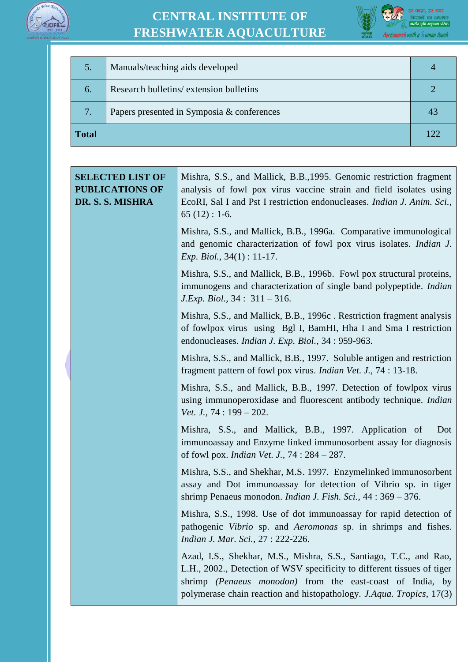



| 5.           | Manuals/teaching aids developed            |     |
|--------------|--------------------------------------------|-----|
| 6.           | Research bulletins/extension bulletins     |     |
| 7.           | Papers presented in Symposia & conferences | 43  |
| <b>Total</b> |                                            | 122 |

| <b>SELECTED LIST OF</b><br><b>PUBLICATIONS OF</b><br>DR. S. S. MISHRA | Mishra, S.S., and Mallick, B.B., 1995. Genomic restriction fragment<br>analysis of fowl pox virus vaccine strain and field isolates using<br>EcoRI, Sal I and Pst I restriction endonucleases. Indian J. Anim. Sci.,<br>$65(12): 1-6.$                                            |
|-----------------------------------------------------------------------|-----------------------------------------------------------------------------------------------------------------------------------------------------------------------------------------------------------------------------------------------------------------------------------|
|                                                                       | Mishra, S.S., and Mallick, B.B., 1996a. Comparative immunological<br>and genomic characterization of fowl pox virus isolates. <i>Indian J.</i><br><i>Exp. Biol.</i> , $34(1) : 11-17$ .                                                                                           |
|                                                                       | Mishra, S.S., and Mallick, B.B., 1996b. Fowl pox structural proteins,<br>immunogens and characterization of single band polypeptide. Indian<br>$J. Exp. Biol., 34 : 311 - 316.$                                                                                                   |
|                                                                       | Mishra, S.S., and Mallick, B.B., 1996c. Restriction fragment analysis<br>of fowlpox virus using Bgl I, BamHI, Hha I and Sma I restriction<br>endonucleases. Indian J. Exp. Biol., 34 : 959-963.                                                                                   |
|                                                                       | Mishra, S.S., and Mallick, B.B., 1997. Soluble antigen and restriction<br>fragment pattern of fowl pox virus. <i>Indian Vet. J.</i> , 74 : 13-18.                                                                                                                                 |
|                                                                       | Mishra, S.S., and Mallick, B.B., 1997. Detection of fowlpox virus<br>using immunoperoxidase and fluorescent antibody technique. Indian<br>Vet. J., $74:199-202$ .                                                                                                                 |
|                                                                       | Mishra, S.S., and Mallick, B.B., 1997. Application of<br>Dot<br>immunoassay and Enzyme linked immunosorbent assay for diagnosis<br>of fowl pox. <i>Indian Vet. J.</i> , 74: 284 - 287.                                                                                            |
|                                                                       | Mishra, S.S., and Shekhar, M.S. 1997. Enzymelinked immunosorbent<br>assay and Dot immunoassay for detection of Vibrio sp. in tiger<br>shrimp Penaeus monodon. <i>Indian J. Fish. Sci.</i> , 44: 369 – 376.                                                                        |
|                                                                       | Mishra, S.S., 1998. Use of dot immunoassay for rapid detection of<br>pathogenic Vibrio sp. and Aeromonas sp. in shrimps and fishes.<br>Indian J. Mar. Sci., 27 : 222-226.                                                                                                         |
|                                                                       | Azad, I.S., Shekhar, M.S., Mishra, S.S., Santiago, T.C., and Rao,<br>L.H., 2002., Detection of WSV specificity to different tissues of tiger<br>shrimp (Penaeus monodon) from the east-coast of India, by<br>polymerase chain reaction and histopathology. J.Aqua. Tropics, 17(3) |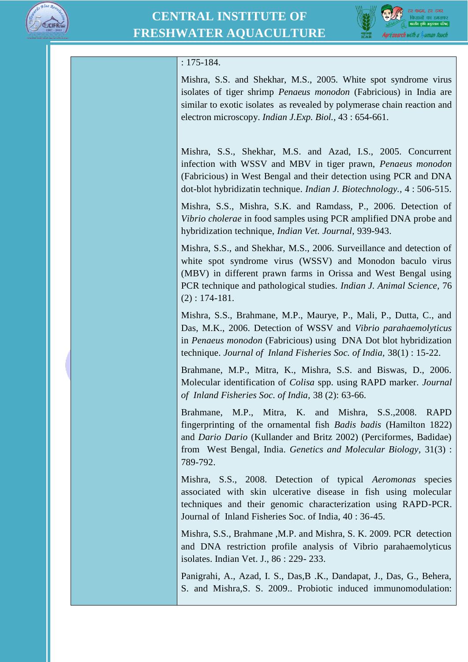



#### : 175-184.

Mishra, S.S. and Shekhar, M.S., 2005. White spot syndrome virus isolates of tiger shrimp *Penaeus monodon* (Fabricious) in India are similar to exotic isolates as revealed by polymerase chain reaction and electron microscopy. *Indian J.Exp. Biol.,* 43 : 654-661.

Mishra, S.S., Shekhar, M.S. and Azad, I.S., 2005. Concurrent infection with WSSV and MBV in tiger prawn, *Penaeus monodon* (Fabricious) in West Bengal and their detection using PCR and DNA dot-blot hybridizatin technique. *Indian J. Biotechnology.,* 4 : 506-515.

Mishra, S.S., Mishra, S.K. and Ramdass, P., 2006. Detection of *Vibrio cholerae* in food samples using PCR amplified DNA probe and hybridization technique, *Indian Vet. Journal,* 939-943.

Mishra, S.S., and Shekhar, M.S., 2006. Surveillance and detection of white spot syndrome virus (WSSV) and Monodon baculo virus (MBV) in different prawn farms in Orissa and West Bengal using PCR technique and pathological studies. *Indian J. Animal Science,* 76 (2) : 174-181.

Mishra, S.S., Brahmane, M.P., Maurye, P., Mali, P., Dutta, C., and Das, M.K., 2006. Detection of WSSV and *Vibrio parahaemolyticus* in *Penaeus monodon* (Fabricious) using DNA Dot blot hybridization technique. *Journal of Inland Fisheries Soc. of India,* 38(1) : 15-22.

Brahmane, M.P., Mitra, K., Mishra, S.S. and Biswas, D., 2006. Molecular identification of *Colisa* spp. using RAPD marker. *Journal of Inland Fisheries Soc. of India,* 38 (2): 63-66.

Brahmane, M.P., Mitra, K. and Mishra, S.S.,2008. RAPD fingerprinting of the ornamental fish *Badis badis* (Hamilton 1822) and *Dario Dario* (Kullander and Britz 2002) (Perciformes, Badidae) from West Bengal, India. *Genetics and Molecular Biology,* 31(3) : 789-792.

Mishra, S.S., 2008. Detection of typical *Aeromonas* species associated with skin ulcerative disease in fish using molecular techniques and their genomic characterization using RAPD-PCR. Journal of Inland Fisheries Soc. of India, 40 : 36-45.

Mishra, S.S., Brahmane ,M.P. and Mishra, S. K. 2009. PCR detection and DNA restriction profile analysis of Vibrio parahaemolyticus isolates. Indian Vet. J., 86 : 229- 233.

Panigrahi, A., Azad, I. S., Das,B .K., Dandapat, J., Das, G., Behera, S. and Mishra,S. S. 2009.. Probiotic induced immunomodulation: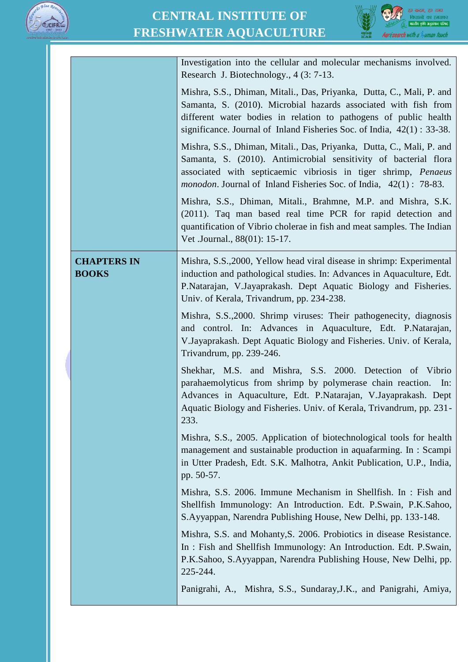



|                                    | Investigation into the cellular and molecular mechanisms involved.<br>Research J. Biotechnology., 4 (3: 7-13.                                                                                                                                                                             |
|------------------------------------|-------------------------------------------------------------------------------------------------------------------------------------------------------------------------------------------------------------------------------------------------------------------------------------------|
|                                    | Mishra, S.S., Dhiman, Mitali., Das, Priyanka, Dutta, C., Mali, P. and<br>Samanta, S. (2010). Microbial hazards associated with fish from<br>different water bodies in relation to pathogens of public health<br>significance. Journal of Inland Fisheries Soc. of India, $42(1)$ : 33-38. |
|                                    | Mishra, S.S., Dhiman, Mitali., Das, Priyanka, Dutta, C., Mali, P. and<br>Samanta, S. (2010). Antimicrobial sensitivity of bacterial flora<br>associated with septicaemic vibriosis in tiger shrimp, Penaeus<br><i>monodon</i> . Journal of Inland Fisheries Soc. of India, 42(1): 78-83.  |
|                                    | Mishra, S.S., Dhiman, Mitali., Brahmne, M.P. and Mishra, S.K.<br>(2011). Taq man based real time PCR for rapid detection and<br>quantification of Vibrio cholerae in fish and meat samples. The Indian<br>Vet .Journal., 88(01): 15-17.                                                   |
| <b>CHAPTERS IN</b><br><b>BOOKS</b> | Mishra, S.S., 2000, Yellow head viral disease in shrimp: Experimental<br>induction and pathological studies. In: Advances in Aquaculture, Edt.<br>P. Natarajan, V. Jayaprakash. Dept Aquatic Biology and Fisheries.<br>Univ. of Kerala, Trivandrum, pp. 234-238.                          |
|                                    | Mishra, S.S., 2000. Shrimp viruses: Their pathogenecity, diagnosis<br>and control. In: Advances in Aquaculture, Edt. P.Natarajan,<br>V. Jayaprakash. Dept Aquatic Biology and Fisheries. Univ. of Kerala,<br>Trivandrum, pp. 239-246.                                                     |
|                                    | Shekhar, M.S. and Mishra, S.S. 2000. Detection of Vibrio<br>parahaemolyticus from shrimp by polymerase chain reaction. In:<br>Advances in Aquaculture, Edt. P. Natarajan, V. Jayaprakash. Dept.<br>Aquatic Biology and Fisheries. Univ. of Kerala, Trivandrum, pp. 231-<br>233.           |
|                                    | Mishra, S.S., 2005. Application of biotechnological tools for health<br>management and sustainable production in aquafarming. In : Scampi<br>in Utter Pradesh, Edt. S.K. Malhotra, Ankit Publication, U.P., India,<br>pp. 50-57.                                                          |
|                                    | Mishra, S.S. 2006. Immune Mechanism in Shellfish. In : Fish and<br>Shellfish Immunology: An Introduction. Edt. P.Swain, P.K.Sahoo,<br>S. Ayyappan, Narendra Publishing House, New Delhi, pp. 133-148.                                                                                     |
|                                    | Mishra, S.S. and Mohanty, S. 2006. Probiotics in disease Resistance.<br>In: Fish and Shellfish Immunology: An Introduction. Edt. P.Swain,<br>P.K.Sahoo, S.Ayyappan, Narendra Publishing House, New Delhi, pp.<br>225-244.                                                                 |
|                                    | Panigrahi, A., Mishra, S.S., Sundaray, J.K., and Panigrahi, Amiya,                                                                                                                                                                                                                        |